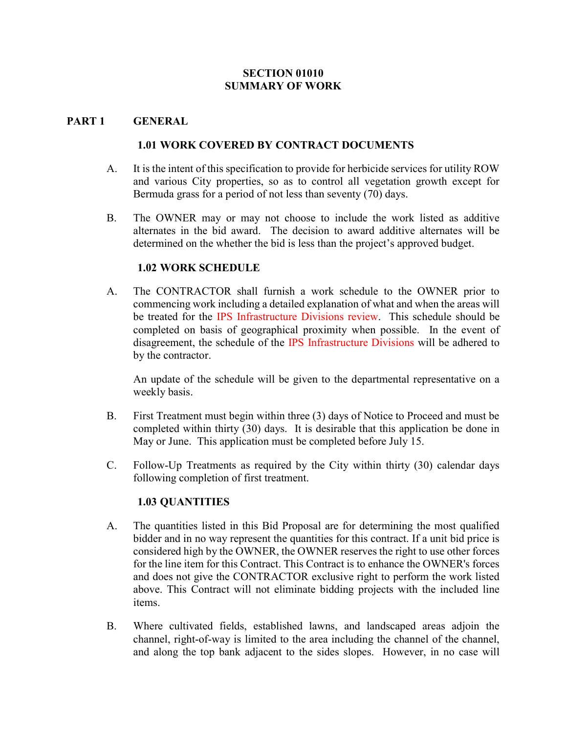#### SECTION 01010 SUMMARY OF WORK

#### PART 1 GENERAL

#### 1.01 WORK COVERED BY CONTRACT DOCUMENTS

- A. It is the intent of this specification to provide for herbicide services for utility ROW and various City properties, so as to control all vegetation growth except for Bermuda grass for a period of not less than seventy (70) days.
- B. The OWNER may or may not choose to include the work listed as additive alternates in the bid award. The decision to award additive alternates will be determined on the whether the bid is less than the project's approved budget.

#### 1.02 WORK SCHEDULE

A. The CONTRACTOR shall furnish a work schedule to the OWNER prior to commencing work including a detailed explanation of what and when the areas will be treated for the IPS Infrastructure Divisions review. This schedule should be completed on basis of geographical proximity when possible. In the event of disagreement, the schedule of the IPS Infrastructure Divisions will be adhered to by the contractor.

An update of the schedule will be given to the departmental representative on a weekly basis.

- B. First Treatment must begin within three (3) days of Notice to Proceed and must be completed within thirty (30) days. It is desirable that this application be done in May or June. This application must be completed before July 15.
- C. Follow-Up Treatments as required by the City within thirty (30) calendar days following completion of first treatment.

### 1.03 QUANTITIES

- A. The quantities listed in this Bid Proposal are for determining the most qualified bidder and in no way represent the quantities for this contract. If a unit bid price is considered high by the OWNER, the OWNER reserves the right to use other forces for the line item for this Contract. This Contract is to enhance the OWNER's forces and does not give the CONTRACTOR exclusive right to perform the work listed above. This Contract will not eliminate bidding projects with the included line items.
- B. Where cultivated fields, established lawns, and landscaped areas adjoin the channel, right-of-way is limited to the area including the channel of the channel, and along the top bank adjacent to the sides slopes. However, in no case will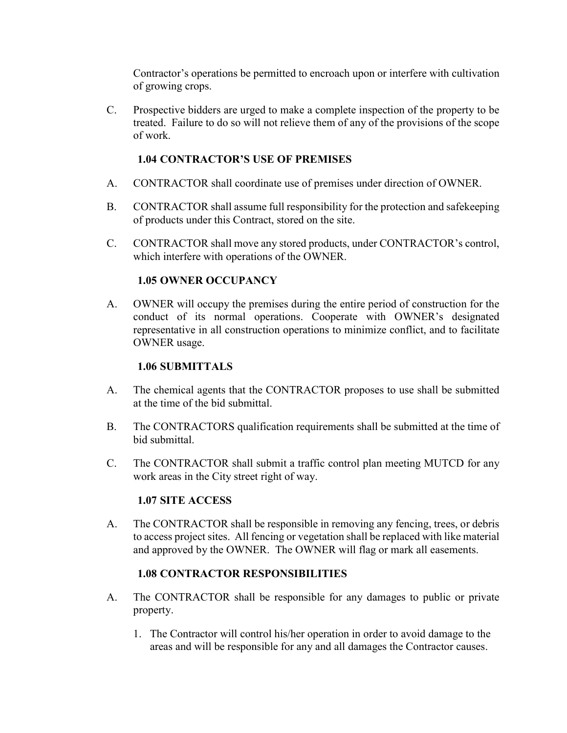Contractor's operations be permitted to encroach upon or interfere with cultivation of growing crops.

C. Prospective bidders are urged to make a complete inspection of the property to be treated. Failure to do so will not relieve them of any of the provisions of the scope of work.

### 1.04 CONTRACTOR'S USE OF PREMISES

- A. CONTRACTOR shall coordinate use of premises under direction of OWNER.
- B. CONTRACTOR shall assume full responsibility for the protection and safekeeping of products under this Contract, stored on the site.
- C. CONTRACTOR shall move any stored products, under CONTRACTOR's control, which interfere with operations of the OWNER.

#### 1.05 OWNER OCCUPANCY

A. OWNER will occupy the premises during the entire period of construction for the conduct of its normal operations. Cooperate with OWNER's designated representative in all construction operations to minimize conflict, and to facilitate OWNER usage.

#### 1.06 SUBMITTALS

- A. The chemical agents that the CONTRACTOR proposes to use shall be submitted at the time of the bid submittal.
- B. The CONTRACTORS qualification requirements shall be submitted at the time of bid submittal.
- C. The CONTRACTOR shall submit a traffic control plan meeting MUTCD for any work areas in the City street right of way.

#### 1.07 SITE ACCESS

A. The CONTRACTOR shall be responsible in removing any fencing, trees, or debris to access project sites. All fencing or vegetation shall be replaced with like material and approved by the OWNER. The OWNER will flag or mark all easements.

#### 1.08 CONTRACTOR RESPONSIBILITIES

- A. The CONTRACTOR shall be responsible for any damages to public or private property.
	- 1. The Contractor will control his/her operation in order to avoid damage to the areas and will be responsible for any and all damages the Contractor causes.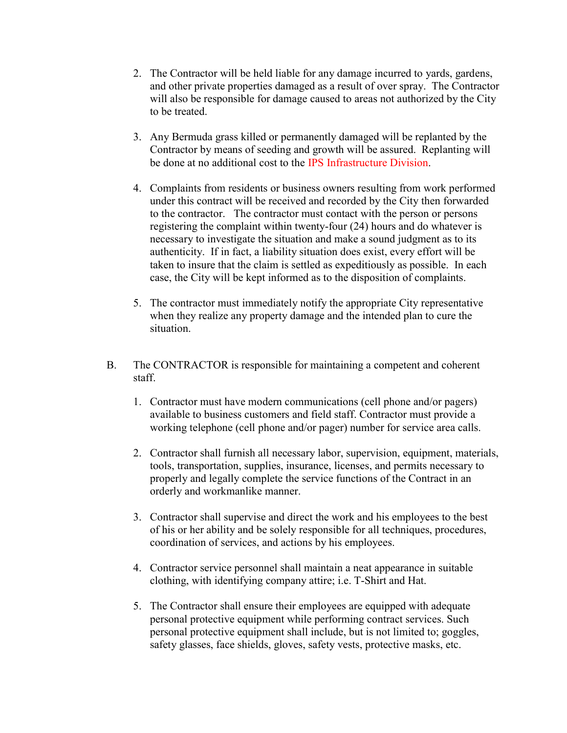- 2. The Contractor will be held liable for any damage incurred to yards, gardens, and other private properties damaged as a result of over spray. The Contractor will also be responsible for damage caused to areas not authorized by the City to be treated.
- 3. Any Bermuda grass killed or permanently damaged will be replanted by the Contractor by means of seeding and growth will be assured. Replanting will be done at no additional cost to the IPS Infrastructure Division.
- 4. Complaints from residents or business owners resulting from work performed under this contract will be received and recorded by the City then forwarded to the contractor. The contractor must contact with the person or persons registering the complaint within twenty-four (24) hours and do whatever is necessary to investigate the situation and make a sound judgment as to its authenticity. If in fact, a liability situation does exist, every effort will be taken to insure that the claim is settled as expeditiously as possible. In each case, the City will be kept informed as to the disposition of complaints.
- 5. The contractor must immediately notify the appropriate City representative when they realize any property damage and the intended plan to cure the situation.
- B. The CONTRACTOR is responsible for maintaining a competent and coherent staff.
	- 1. Contractor must have modern communications (cell phone and/or pagers) available to business customers and field staff. Contractor must provide a working telephone (cell phone and/or pager) number for service area calls.
	- 2. Contractor shall furnish all necessary labor, supervision, equipment, materials, tools, transportation, supplies, insurance, licenses, and permits necessary to properly and legally complete the service functions of the Contract in an orderly and workmanlike manner.
	- 3. Contractor shall supervise and direct the work and his employees to the best of his or her ability and be solely responsible for all techniques, procedures, coordination of services, and actions by his employees.
	- 4. Contractor service personnel shall maintain a neat appearance in suitable clothing, with identifying company attire; i.e. T-Shirt and Hat.
	- 5. The Contractor shall ensure their employees are equipped with adequate personal protective equipment while performing contract services. Such personal protective equipment shall include, but is not limited to; goggles, safety glasses, face shields, gloves, safety vests, protective masks, etc.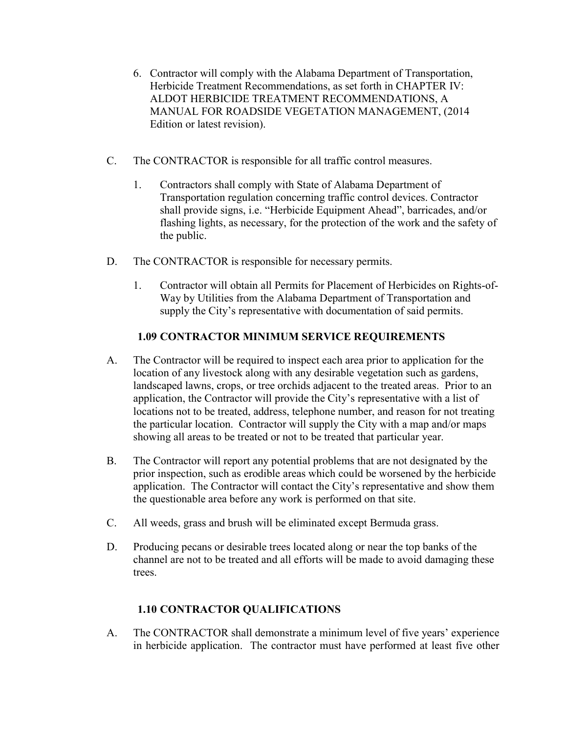- 6. Contractor will comply with the Alabama Department of Transportation, Herbicide Treatment Recommendations, as set forth in CHAPTER IV: ALDOT HERBICIDE TREATMENT RECOMMENDATIONS, A MANUAL FOR ROADSIDE VEGETATION MANAGEMENT, (2014 Edition or latest revision).
- C. The CONTRACTOR is responsible for all traffic control measures.
	- 1. Contractors shall comply with State of Alabama Department of Transportation regulation concerning traffic control devices. Contractor shall provide signs, i.e. "Herbicide Equipment Ahead", barricades, and/or flashing lights, as necessary, for the protection of the work and the safety of the public.
- D. The CONTRACTOR is responsible for necessary permits.
	- 1. Contractor will obtain all Permits for Placement of Herbicides on Rights-of-Way by Utilities from the Alabama Department of Transportation and supply the City's representative with documentation of said permits.

## 1.09 CONTRACTOR MINIMUM SERVICE REQUIREMENTS

- A. The Contractor will be required to inspect each area prior to application for the location of any livestock along with any desirable vegetation such as gardens, landscaped lawns, crops, or tree orchids adjacent to the treated areas. Prior to an application, the Contractor will provide the City's representative with a list of locations not to be treated, address, telephone number, and reason for not treating the particular location. Contractor will supply the City with a map and/or maps showing all areas to be treated or not to be treated that particular year.
- B. The Contractor will report any potential problems that are not designated by the prior inspection, such as erodible areas which could be worsened by the herbicide application. The Contractor will contact the City's representative and show them the questionable area before any work is performed on that site.
- C. All weeds, grass and brush will be eliminated except Bermuda grass.
- D. Producing pecans or desirable trees located along or near the top banks of the channel are not to be treated and all efforts will be made to avoid damaging these trees.

# 1.10 CONTRACTOR QUALIFICATIONS

A. The CONTRACTOR shall demonstrate a minimum level of five years' experience in herbicide application. The contractor must have performed at least five other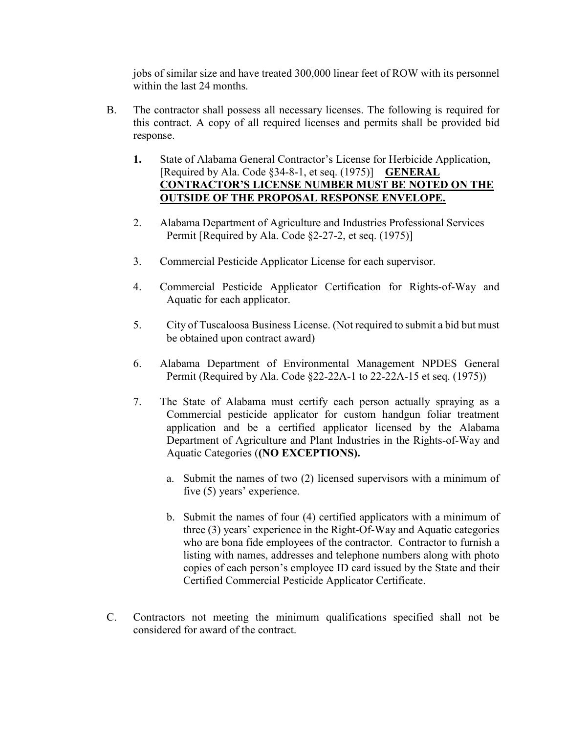jobs of similar size and have treated 300,000 linear feet of ROW with its personnel within the last 24 months.

- B. The contractor shall possess all necessary licenses. The following is required for this contract. A copy of all required licenses and permits shall be provided bid response.
	- 1. State of Alabama General Contractor's License for Herbicide Application, [Required by Ala. Code §34-8-1, et seq. (1975)] **GENERAL** CONTRACTOR'S LICENSE NUMBER MUST BE NOTED ON THE OUTSIDE OF THE PROPOSAL RESPONSE ENVELOPE.
	- 2. Alabama Department of Agriculture and Industries Professional Services Permit [Required by Ala. Code §2-27-2, et seq. (1975)]
	- 3. Commercial Pesticide Applicator License for each supervisor.
	- 4. Commercial Pesticide Applicator Certification for Rights-of-Way and Aquatic for each applicator.
	- 5. City of Tuscaloosa Business License. (Not required to submit a bid but must be obtained upon contract award)
	- 6. Alabama Department of Environmental Management NPDES General Permit (Required by Ala. Code §22-22A-1 to 22-22A-15 et seq. (1975))
	- 7. The State of Alabama must certify each person actually spraying as a Commercial pesticide applicator for custom handgun foliar treatment application and be a certified applicator licensed by the Alabama Department of Agriculture and Plant Industries in the Rights-of-Way and Aquatic Categories ((NO EXCEPTIONS).
		- a. Submit the names of two (2) licensed supervisors with a minimum of five (5) years' experience.
		- b. Submit the names of four (4) certified applicators with a minimum of three (3) years' experience in the Right-Of-Way and Aquatic categories who are bona fide employees of the contractor. Contractor to furnish a listing with names, addresses and telephone numbers along with photo copies of each person's employee ID card issued by the State and their Certified Commercial Pesticide Applicator Certificate.
- C. Contractors not meeting the minimum qualifications specified shall not be considered for award of the contract.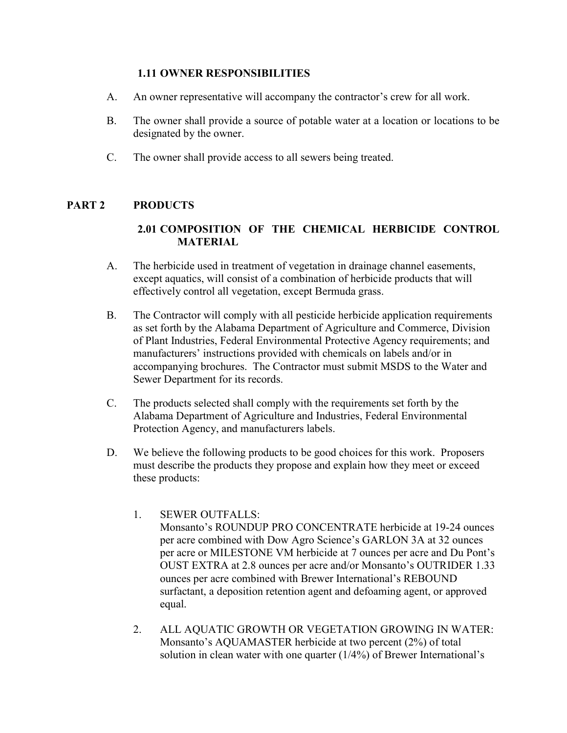#### 1.11 OWNER RESPONSIBILITIES

- A. An owner representative will accompany the contractor's crew for all work.
- B. The owner shall provide a source of potable water at a location or locations to be designated by the owner.
- C. The owner shall provide access to all sewers being treated.

### PART 2 PRODUCTS

## 2.01 COMPOSITION OF THE CHEMICAL HERBICIDE CONTROL **MATERIAL**

- A. The herbicide used in treatment of vegetation in drainage channel easements, except aquatics, will consist of a combination of herbicide products that will effectively control all vegetation, except Bermuda grass.
- B. The Contractor will comply with all pesticide herbicide application requirements as set forth by the Alabama Department of Agriculture and Commerce, Division of Plant Industries, Federal Environmental Protective Agency requirements; and manufacturers' instructions provided with chemicals on labels and/or in accompanying brochures. The Contractor must submit MSDS to the Water and Sewer Department for its records.
- C. The products selected shall comply with the requirements set forth by the Alabama Department of Agriculture and Industries, Federal Environmental Protection Agency, and manufacturers labels.
- D. We believe the following products to be good choices for this work. Proposers must describe the products they propose and explain how they meet or exceed these products:
	- 1. SEWER OUTFALLS: Monsanto's ROUNDUP PRO CONCENTRATE herbicide at 19-24 ounces per acre combined with Dow Agro Science's GARLON 3A at 32 ounces per acre or MILESTONE VM herbicide at 7 ounces per acre and Du Pont's OUST EXTRA at 2.8 ounces per acre and/or Monsanto's OUTRIDER 1.33 ounces per acre combined with Brewer International's REBOUND surfactant, a deposition retention agent and defoaming agent, or approved equal.
	- 2. ALL AQUATIC GROWTH OR VEGETATION GROWING IN WATER: Monsanto's AQUAMASTER herbicide at two percent (2%) of total solution in clean water with one quarter (1/4%) of Brewer International's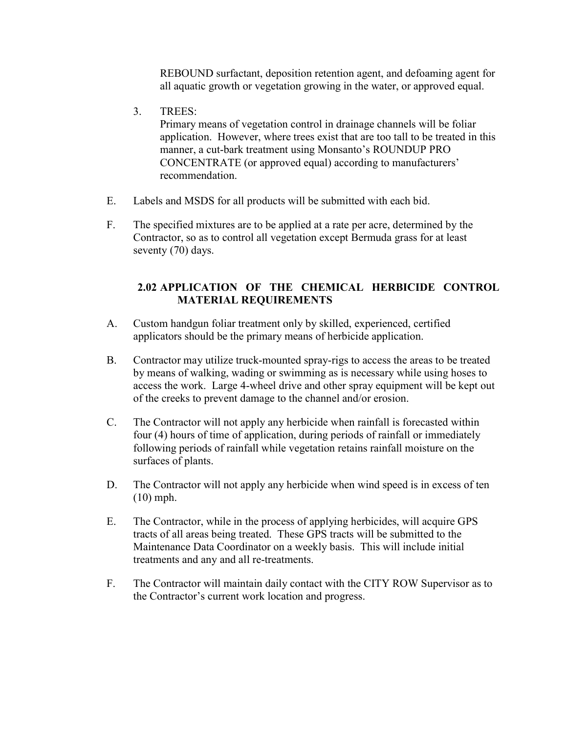REBOUND surfactant, deposition retention agent, and defoaming agent for all aquatic growth or vegetation growing in the water, or approved equal.

3. TREES:

Primary means of vegetation control in drainage channels will be foliar application. However, where trees exist that are too tall to be treated in this manner, a cut-bark treatment using Monsanto's ROUNDUP PRO CONCENTRATE (or approved equal) according to manufacturers' recommendation.

- E. Labels and MSDS for all products will be submitted with each bid.
- F. The specified mixtures are to be applied at a rate per acre, determined by the Contractor, so as to control all vegetation except Bermuda grass for at least seventy (70) days.

## 2.02 APPLICATION OF THE CHEMICAL HERBICIDE CONTROL MATERIAL REQUIREMENTS

- A. Custom handgun foliar treatment only by skilled, experienced, certified applicators should be the primary means of herbicide application.
- B. Contractor may utilize truck-mounted spray-rigs to access the areas to be treated by means of walking, wading or swimming as is necessary while using hoses to access the work. Large 4-wheel drive and other spray equipment will be kept out of the creeks to prevent damage to the channel and/or erosion.
- C. The Contractor will not apply any herbicide when rainfall is forecasted within four (4) hours of time of application, during periods of rainfall or immediately following periods of rainfall while vegetation retains rainfall moisture on the surfaces of plants.
- D. The Contractor will not apply any herbicide when wind speed is in excess of ten (10) mph.
- E. The Contractor, while in the process of applying herbicides, will acquire GPS tracts of all areas being treated. These GPS tracts will be submitted to the Maintenance Data Coordinator on a weekly basis. This will include initial treatments and any and all re-treatments.
- F. The Contractor will maintain daily contact with the CITY ROW Supervisor as to the Contractor's current work location and progress.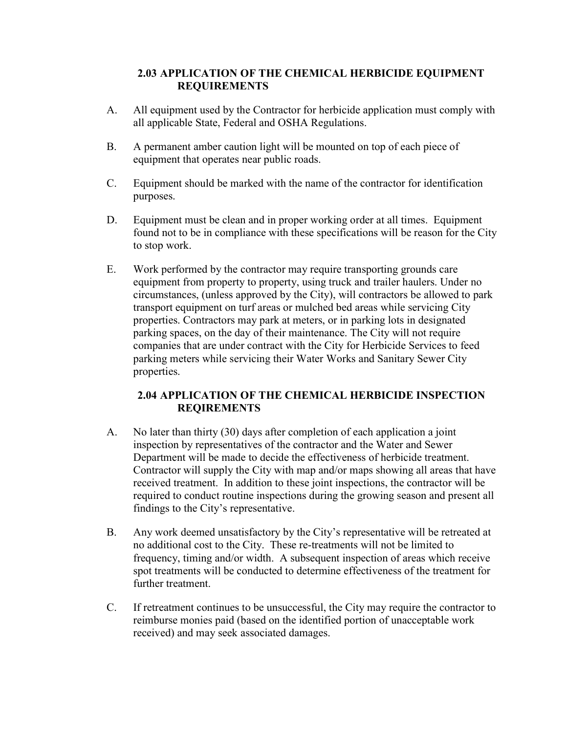### 2.03 APPLICATION OF THE CHEMICAL HERBICIDE EQUIPMENT REQUIREMENTS

- A. All equipment used by the Contractor for herbicide application must comply with all applicable State, Federal and OSHA Regulations.
- B. A permanent amber caution light will be mounted on top of each piece of equipment that operates near public roads.
- C. Equipment should be marked with the name of the contractor for identification purposes.
- D. Equipment must be clean and in proper working order at all times. Equipment found not to be in compliance with these specifications will be reason for the City to stop work.
- E. Work performed by the contractor may require transporting grounds care equipment from property to property, using truck and trailer haulers. Under no circumstances, (unless approved by the City), will contractors be allowed to park transport equipment on turf areas or mulched bed areas while servicing City properties. Contractors may park at meters, or in parking lots in designated parking spaces, on the day of their maintenance. The City will not require companies that are under contract with the City for Herbicide Services to feed parking meters while servicing their Water Works and Sanitary Sewer City properties.

### 2.04 APPLICATION OF THE CHEMICAL HERBICIDE INSPECTION REQIREMENTS

- A. No later than thirty (30) days after completion of each application a joint inspection by representatives of the contractor and the Water and Sewer Department will be made to decide the effectiveness of herbicide treatment. Contractor will supply the City with map and/or maps showing all areas that have received treatment. In addition to these joint inspections, the contractor will be required to conduct routine inspections during the growing season and present all findings to the City's representative.
- B. Any work deemed unsatisfactory by the City's representative will be retreated at no additional cost to the City. These re-treatments will not be limited to frequency, timing and/or width. A subsequent inspection of areas which receive spot treatments will be conducted to determine effectiveness of the treatment for further treatment.
- C. If retreatment continues to be unsuccessful, the City may require the contractor to reimburse monies paid (based on the identified portion of unacceptable work received) and may seek associated damages.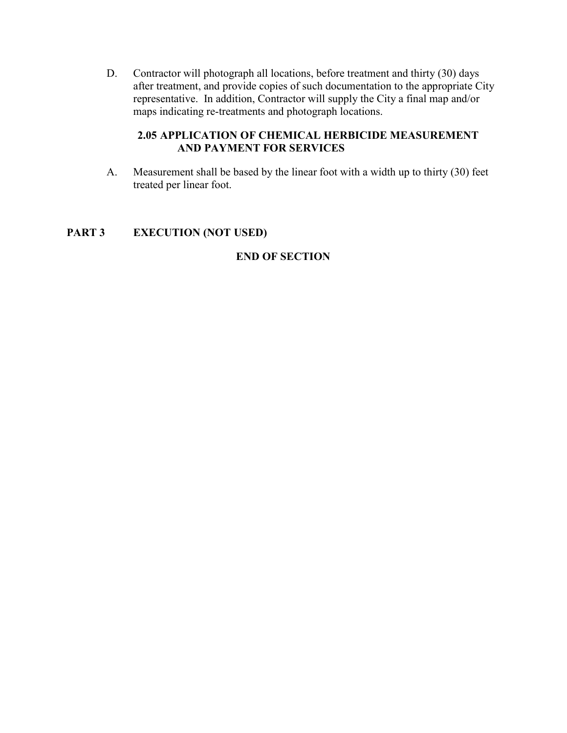D. Contractor will photograph all locations, before treatment and thirty (30) days after treatment, and provide copies of such documentation to the appropriate City representative. In addition, Contractor will supply the City a final map and/or maps indicating re-treatments and photograph locations.

### 2.05 APPLICATION OF CHEMICAL HERBICIDE MEASUREMENT AND PAYMENT FOR SERVICES

A. Measurement shall be based by the linear foot with a width up to thirty (30) feet treated per linear foot.

## PART 3 EXECUTION (NOT USED)

### END OF SECTION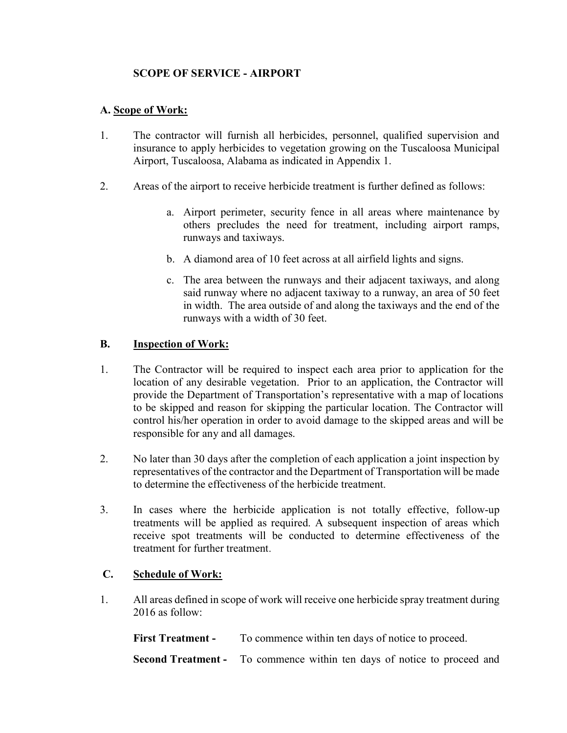## SCOPE OF SERVICE - AIRPORT

### A. Scope of Work:

- 1. The contractor will furnish all herbicides, personnel, qualified supervision and insurance to apply herbicides to vegetation growing on the Tuscaloosa Municipal Airport, Tuscaloosa, Alabama as indicated in Appendix 1.
- 2. Areas of the airport to receive herbicide treatment is further defined as follows:
	- a. Airport perimeter, security fence in all areas where maintenance by others precludes the need for treatment, including airport ramps, runways and taxiways.
	- b. A diamond area of 10 feet across at all airfield lights and signs.
	- c. The area between the runways and their adjacent taxiways, and along said runway where no adjacent taxiway to a runway, an area of 50 feet in width. The area outside of and along the taxiways and the end of the runways with a width of 30 feet.

#### B. Inspection of Work:

- 1. The Contractor will be required to inspect each area prior to application for the location of any desirable vegetation. Prior to an application, the Contractor will provide the Department of Transportation's representative with a map of locations to be skipped and reason for skipping the particular location. The Contractor will control his/her operation in order to avoid damage to the skipped areas and will be responsible for any and all damages.
- 2. No later than 30 days after the completion of each application a joint inspection by representatives of the contractor and the Department of Transportation will be made to determine the effectiveness of the herbicide treatment.
- 3. In cases where the herbicide application is not totally effective, follow-up treatments will be applied as required. A subsequent inspection of areas which receive spot treatments will be conducted to determine effectiveness of the treatment for further treatment.

### C. Schedule of Work:

1. All areas defined in scope of work will receive one herbicide spray treatment during 2016 as follow:

First Treatment - To commence within ten days of notice to proceed.

Second Treatment - To commence within ten days of notice to proceed and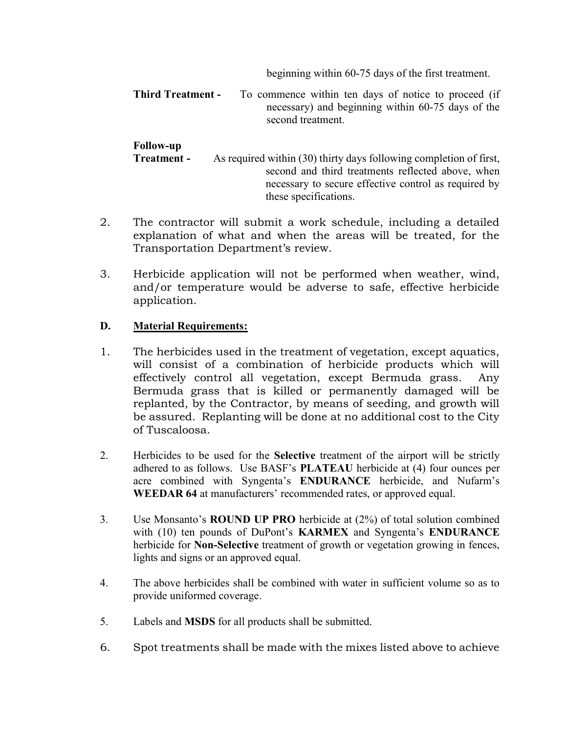beginning within 60-75 days of the first treatment.

**Third Treatment -** To commence within ten days of notice to proceed (if necessary) and beginning within 60-75 days of the second treatment.

| <b>Follow-up</b> |                                                                    |
|------------------|--------------------------------------------------------------------|
| Treatment -      | As required within (30) thirty days following completion of first, |
|                  | second and third treatments reflected above, when                  |
|                  | necessary to secure effective control as required by               |
|                  | these specifications.                                              |

- 2. The contractor will submit a work schedule, including a detailed explanation of what and when the areas will be treated, for the Transportation Department's review.
- 3. Herbicide application will not be performed when weather, wind, and/or temperature would be adverse to safe, effective herbicide application.

## D. Material Requirements:

- 1. The herbicides used in the treatment of vegetation, except aquatics, will consist of a combination of herbicide products which will effectively control all vegetation, except Bermuda grass. Any Bermuda grass that is killed or permanently damaged will be replanted, by the Contractor, by means of seeding, and growth will be assured. Replanting will be done at no additional cost to the City of Tuscaloosa.
- 2. Herbicides to be used for the Selective treatment of the airport will be strictly adhered to as follows. Use BASF's PLATEAU herbicide at (4) four ounces per acre combined with Syngenta's ENDURANCE herbicide, and Nufarm's WEEDAR 64 at manufacturers' recommended rates, or approved equal.
- 3. Use Monsanto's ROUND UP PRO herbicide at (2%) of total solution combined with (10) ten pounds of DuPont's KARMEX and Syngenta's ENDURANCE herbicide for Non-Selective treatment of growth or vegetation growing in fences, lights and signs or an approved equal.
- 4. The above herbicides shall be combined with water in sufficient volume so as to provide uniformed coverage.
- 5. Labels and MSDS for all products shall be submitted.
- 6. Spot treatments shall be made with the mixes listed above to achieve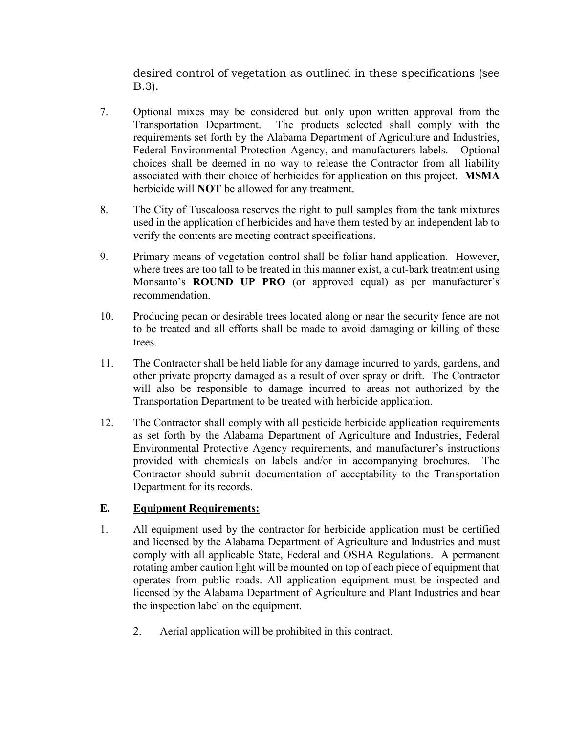desired control of vegetation as outlined in these specifications (see B.3).

- 7. Optional mixes may be considered but only upon written approval from the Transportation Department. The products selected shall comply with the requirements set forth by the Alabama Department of Agriculture and Industries, Federal Environmental Protection Agency, and manufacturers labels. Optional choices shall be deemed in no way to release the Contractor from all liability associated with their choice of herbicides for application on this project. MSMA herbicide will NOT be allowed for any treatment.
- 8. The City of Tuscaloosa reserves the right to pull samples from the tank mixtures used in the application of herbicides and have them tested by an independent lab to verify the contents are meeting contract specifications.
- 9. Primary means of vegetation control shall be foliar hand application. However, where trees are too tall to be treated in this manner exist, a cut-bark treatment using Monsanto's ROUND UP PRO (or approved equal) as per manufacturer's recommendation.
- 10. Producing pecan or desirable trees located along or near the security fence are not to be treated and all efforts shall be made to avoid damaging or killing of these trees.
- 11. The Contractor shall be held liable for any damage incurred to yards, gardens, and other private property damaged as a result of over spray or drift. The Contractor will also be responsible to damage incurred to areas not authorized by the Transportation Department to be treated with herbicide application.
- 12. The Contractor shall comply with all pesticide herbicide application requirements as set forth by the Alabama Department of Agriculture and Industries, Federal Environmental Protective Agency requirements, and manufacturer's instructions provided with chemicals on labels and/or in accompanying brochures. The Contractor should submit documentation of acceptability to the Transportation Department for its records.

### E. Equipment Requirements:

- 1. All equipment used by the contractor for herbicide application must be certified and licensed by the Alabama Department of Agriculture and Industries and must comply with all applicable State, Federal and OSHA Regulations. A permanent rotating amber caution light will be mounted on top of each piece of equipment that operates from public roads. All application equipment must be inspected and licensed by the Alabama Department of Agriculture and Plant Industries and bear the inspection label on the equipment.
	- 2. Aerial application will be prohibited in this contract.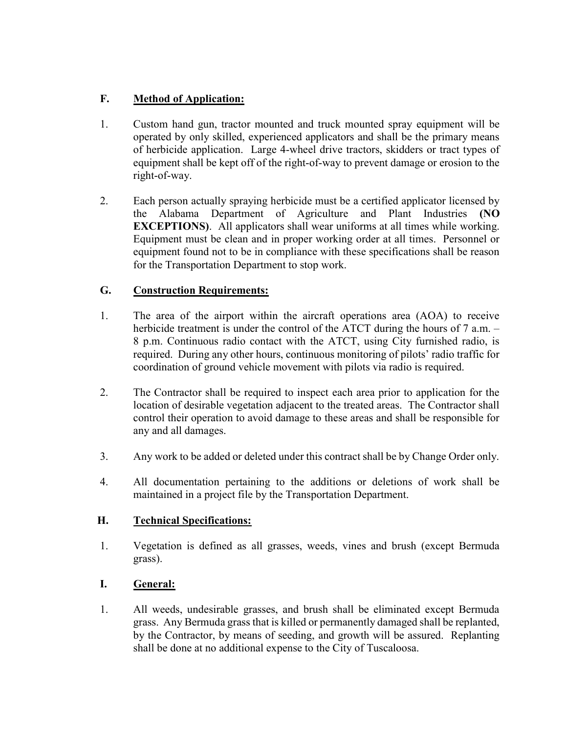## F. Method of Application:

- 1. Custom hand gun, tractor mounted and truck mounted spray equipment will be operated by only skilled, experienced applicators and shall be the primary means of herbicide application. Large 4-wheel drive tractors, skidders or tract types of equipment shall be kept off of the right-of-way to prevent damage or erosion to the right-of-way.
- 2. Each person actually spraying herbicide must be a certified applicator licensed by the Alabama Department of Agriculture and Plant Industries (NO EXCEPTIONS). All applicators shall wear uniforms at all times while working. Equipment must be clean and in proper working order at all times. Personnel or equipment found not to be in compliance with these specifications shall be reason for the Transportation Department to stop work.

## G. Construction Requirements:

- 1. The area of the airport within the aircraft operations area (AOA) to receive herbicide treatment is under the control of the ATCT during the hours of 7 a.m. – 8 p.m. Continuous radio contact with the ATCT, using City furnished radio, is required. During any other hours, continuous monitoring of pilots' radio traffic for coordination of ground vehicle movement with pilots via radio is required.
- 2. The Contractor shall be required to inspect each area prior to application for the location of desirable vegetation adjacent to the treated areas. The Contractor shall control their operation to avoid damage to these areas and shall be responsible for any and all damages.
- 3. Any work to be added or deleted under this contract shall be by Change Order only.
- 4. All documentation pertaining to the additions or deletions of work shall be maintained in a project file by the Transportation Department.

## H. Technical Specifications:

1. Vegetation is defined as all grasses, weeds, vines and brush (except Bermuda grass).

## I. General:

1. All weeds, undesirable grasses, and brush shall be eliminated except Bermuda grass. Any Bermuda grass that is killed or permanently damaged shall be replanted, by the Contractor, by means of seeding, and growth will be assured. Replanting shall be done at no additional expense to the City of Tuscaloosa.